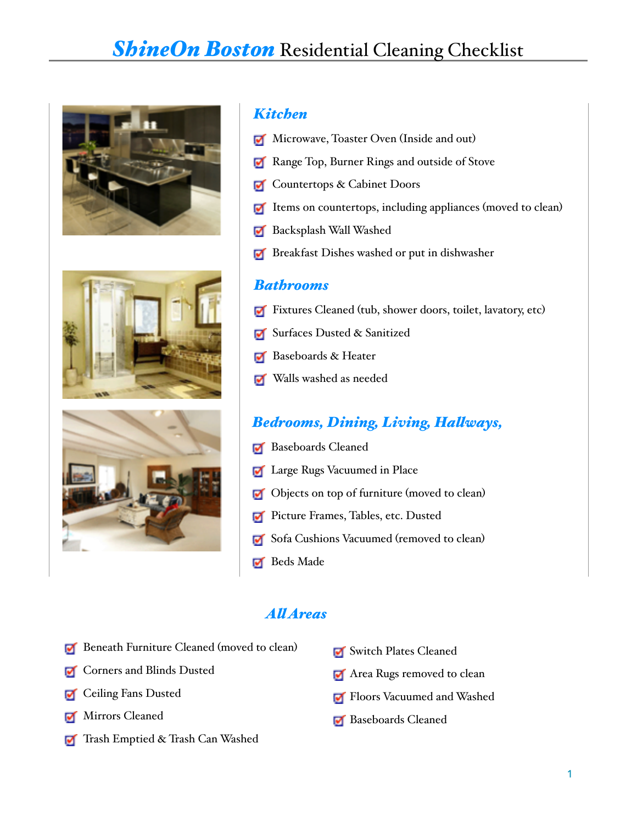# **ShineOn Boston** Residential Cleaning Checklist







#### *Kitchen*

- Microwave, Toaster Oven (Inside and out)
- Range Top, Burner Rings and outside of Stove
- Countertops & Cabinet Doors
- $\blacksquare$  Items on countertops, including appliances (moved to clean)
- **Backsplash Wall Washed**
- **Breakfast Dishes washed or put in dishwasher**

#### *Bathrooms*

- Fixtures Cleaned (tub, shower doors, toilet, lavatory, etc)
- **Surfaces Dusted & Sanitized**
- Baseboards & Heater
- Walls washed as needed

### *Bedrooms, Dining, Living, Halways,*

- Baseboards Cleaned
- **Large Rugs Vacuumed in Place**
- Objects on top of furniture (moved to clean)
- **Picture Frames, Tables, etc. Dusted**
- Sofa Cushions Vacuumed (removed to clean)
- **Beds** Made

#### *Al Areas*

- **Beneath Furniture Cleaned (moved to clean)**
- **T** Corners and Blinds Dusted
- **T** Ceiling Fans Dusted
- Mirrors Cleaned
- Trash Emptied & Trash Can Washed
- Switch Plates Cleaned
- Area Rugs removed to clean
- **Floors Vacuumed and Washed**
- **Baseboards Cleaned**